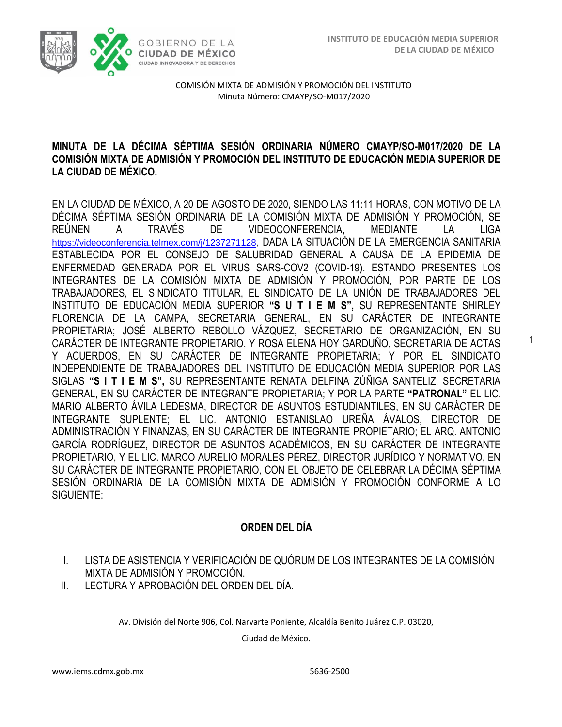1



COMISIÓN MIXTA DE ADMISIÓN Y PROMOCIÓN DEL INSTITUTO Minuta Número: CMAYP/SO-M017/2020

### **MINUTA DE LA DÉCIMA SÉPTIMA SESIÓN ORDINARIA NÚMERO CMAYP/SO-M017/2020 DE LA COMISIÓN MIXTA DE ADMISIÓN Y PROMOCIÓN DEL INSTITUTO DE EDUCACIÓN MEDIA SUPERIOR DE LA CIUDAD DE MÉXICO.**

EN LA CIUDAD DE MÉXICO, A 20 DE AGOSTO DE 2020, SIENDO LAS 11:11 HORAS, CON MOTIVO DE LA DÉCIMA SÉPTIMA SESIÓN ORDINARIA DE LA COMISIÓN MIXTA DE ADMISIÓN Y PROMOCIÓN, SE REÚNEN A TRAVÉS DE VIDEOCONFERENCIA, MEDIANTE LA LIGA <https://videoconferencia.telmex.com/j/1237271128>, DADA LA SITUACIÓN DE LA EMERGENCIA SANITARIA ESTABLECIDA POR EL CONSEJO DE SALUBRIDAD GENERAL A CAUSA DE LA EPIDEMIA DE ENFERMEDAD GENERADA POR EL VIRUS SARS-COV2 (COVID-19). ESTANDO PRESENTES LOS INTEGRANTES DE LA COMISIÓN MIXTA DE ADMISIÓN Y PROMOCIÓN, POR PARTE DE LOS TRABAJADORES, EL SINDICATO TITULAR, EL SINDICATO DE LA UNIÓN DE TRABAJADORES DEL INSTITUTO DE EDUCACIÓN MEDIA SUPERIOR **"S U T I E M S",** SU REPRESENTANTE SHIRLEY FLORENCIA DE LA CAMPA, SECRETARIA GENERAL, EN SU CARÁCTER DE INTEGRANTE PROPIETARIA; JOSÉ ALBERTO REBOLLO VÁZQUEZ, SECRETARIO DE ORGANIZACIÓN, EN SU CARÁCTER DE INTEGRANTE PROPIETARIO, Y ROSA ELENA HOY GARDUÑO, SECRETARIA DE ACTAS Y ACUERDOS, EN SU CARÁCTER DE INTEGRANTE PROPIETARIA; Y POR EL SINDICATO INDEPENDIENTE DE TRABAJADORES DEL INSTITUTO DE EDUCACIÓN MEDIA SUPERIOR POR LAS SIGLAS **"S I T I E M S",** SU REPRESENTANTE RENATA DELFINA ZÚÑIGA SANTELIZ, SECRETARIA GENERAL, EN SU CARÁCTER DE INTEGRANTE PROPIETARIA; Y POR LA PARTE **"PATRONAL"** EL LIC. MARIO ALBERTO ÁVILA LEDESMA, DIRECTOR DE ASUNTOS ESTUDIANTILES, EN SU CARÁCTER DE INTEGRANTE SUPLENTE; EL LIC. ANTONIO ESTANISLAO UREÑA ÁVALOS, DIRECTOR DE ADMINISTRACIÓN Y FINANZAS, EN SU CARÁCTER DE INTEGRANTE PROPIETARIO; EL ARQ. ANTONIO GARCÍA RODRÍGUEZ, DIRECTOR DE ASUNTOS ACADÉMICOS, EN SU CARÁCTER DE INTEGRANTE PROPIETARIO, Y EL LIC. MARCO AURELIO MORALES PÉREZ, DIRECTOR JURÍDICO Y NORMATIVO, EN SU CARÁCTER DE INTEGRANTE PROPIETARIO, CON EL OBJETO DE CELEBRAR LA DÉCIMA SÉPTIMA SESIÓN ORDINARIA DE LA COMISIÓN MIXTA DE ADMISIÓN Y PROMOCIÓN CONFORME A LO SIGUIENTE:

## **ORDEN DEL DÍA**

- I. LISTA DE ASISTENCIA Y VERIFICACIÓN DE QUÓRUM DE LOS INTEGRANTES DE LA COMISIÓN MIXTA DE ADMISIÓN Y PROMOCIÓN.
- II. LECTURA Y APROBACIÓN DEL ORDEN DEL DÍA.

Av. División del Norte 906, Col. Narvarte Poniente, Alcaldía Benito Juárez C.P. 03020,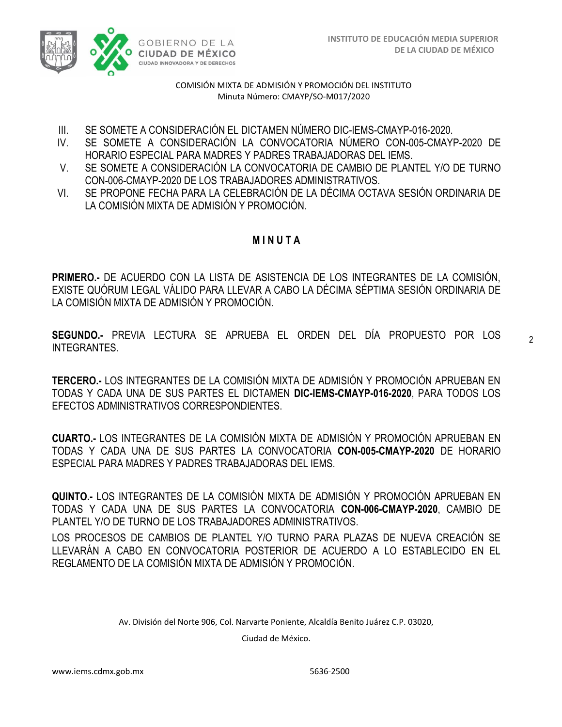

- III. SE SOMETE A CONSIDERACIÓN EL DICTAMEN NÚMERO DIC-IEMS-CMAYP-016-2020.
- IV. SE SOMETE A CONSIDERACIÓN LA CONVOCATORIA NÚMERO CON-005-CMAYP-2020 DE HORARIO ESPECIAL PARA MADRES Y PADRES TRABAJADORAS DEL IEMS.
- V. SE SOMETE A CONSIDERACIÓN LA CONVOCATORIA DE CAMBIO DE PLANTEL Y/O DE TURNO CON-006-CMAYP-2020 DE LOS TRABAJADORES ADMINISTRATIVOS.
- VI. SE PROPONE FECHA PARA LA CELEBRACIÓN DE LA DÉCIMA OCTAVA SESIÓN ORDINARIA DE LA COMISIÓN MIXTA DE ADMISIÓN Y PROMOCIÓN.

### **M I N U T A**

**PRIMERO.-** DE ACUERDO CON LA LISTA DE ASISTENCIA DE LOS INTEGRANTES DE LA COMISIÓN, EXISTE QUÓRUM LEGAL VÁLIDO PARA LLEVAR A CABO LA DÉCIMA SÉPTIMA SESIÓN ORDINARIA DE LA COMISIÓN MIXTA DE ADMISIÓN Y PROMOCIÓN.

**SEGUNDO.-** PREVIA LECTURA SE APRUEBA EL ORDEN DEL DÍA PROPUESTO POR LOS INTEGRANTES.

 $\overline{2}$ 

**TERCERO.-** LOS INTEGRANTES DE LA COMISIÓN MIXTA DE ADMISIÓN Y PROMOCIÓN APRUEBAN EN TODAS Y CADA UNA DE SUS PARTES EL DICTAMEN **DIC-IEMS-CMAYP-016-2020**, PARA TODOS LOS EFECTOS ADMINISTRATIVOS CORRESPONDIENTES.

**CUARTO.-** LOS INTEGRANTES DE LA COMISIÓN MIXTA DE ADMISIÓN Y PROMOCIÓN APRUEBAN EN TODAS Y CADA UNA DE SUS PARTES LA CONVOCATORIA **CON-005-CMAYP-2020** DE HORARIO ESPECIAL PARA MADRES Y PADRES TRABAJADORAS DEL IEMS.

**QUINTO.-** LOS INTEGRANTES DE LA COMISIÓN MIXTA DE ADMISIÓN Y PROMOCIÓN APRUEBAN EN TODAS Y CADA UNA DE SUS PARTES LA CONVOCATORIA **CON-006-CMAYP-2020**, CAMBIO DE PLANTEL Y/O DE TURNO DE LOS TRABAJADORES ADMINISTRATIVOS.

LOS PROCESOS DE CAMBIOS DE PLANTEL Y/O TURNO PARA PLAZAS DE NUEVA CREACIÓN SE LLEVARÁN A CABO EN CONVOCATORIA POSTERIOR DE ACUERDO A LO ESTABLECIDO EN EL REGLAMENTO DE LA COMISIÓN MIXTA DE ADMISIÓN Y PROMOCIÓN.

Av. División del Norte 906, Col. Narvarte Poniente, Alcaldía Benito Juárez C.P. 03020,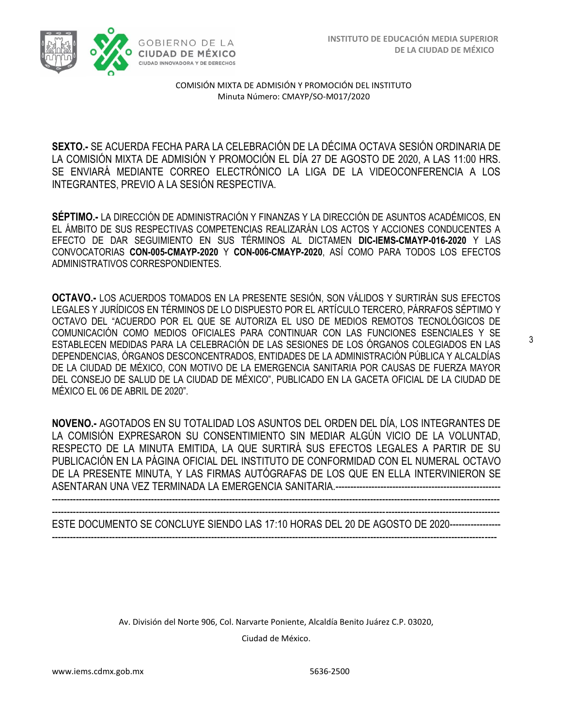

**SEXTO.-** SE ACUERDA FECHA PARA LA CELEBRACIÓN DE LA DÉCIMA OCTAVA SESIÓN ORDINARIA DE LA COMISIÓN MIXTA DE ADMISIÓN Y PROMOCIÓN EL DÍA 27 DE AGOSTO DE 2020, A LAS 11:00 HRS. SE ENVIARÁ MEDIANTE CORREO ELECTRÓNICO LA LIGA DE LA VIDEOCONFERENCIA A LOS INTEGRANTES, PREVIO A LA SESIÓN RESPECTIVA.

**SÉPTIMO.-** LA DIRECCIÓN DE ADMINISTRACIÓN Y FINANZAS Y LA DIRECCIÓN DE ASUNTOS ACADÉMICOS, EN EL ÁMBITO DE SUS RESPECTIVAS COMPETENCIAS REALIZARÁN LOS ACTOS Y ACCIONES CONDUCENTES A EFECTO DE DAR SEGUIMIENTO EN SUS TÉRMINOS AL DICTAMEN **DIC-IEMS-CMAYP-016-2020** Y LAS CONVOCATORIAS **CON-005-CMAYP-2020** Y **CON-006-CMAYP-2020**, ASÍ COMO PARA TODOS LOS EFECTOS ADMINISTRATIVOS CORRESPONDIENTES.

**OCTAVO.-** LOS ACUERDOS TOMADOS EN LA PRESENTE SESIÓN, SON VÁLIDOS Y SURTIRÁN SUS EFECTOS LEGALES Y JURÍDICOS EN TÉRMINOS DE LO DISPUESTO POR EL ARTÍCULO TERCERO, PÁRRAFOS SÉPTIMO Y OCTAVO DEL "ACUERDO POR EL QUE SE AUTORIZA EL USO DE MEDIOS REMOTOS TECNOLÓGICOS DE COMUNICACIÓN COMO MEDIOS OFICIALES PARA CONTINUAR CON LAS FUNCIONES ESENCIALES Y SE ESTABLECEN MEDIDAS PARA LA CELEBRACIÓN DE LAS SESIONES DE LOS ÓRGANOS COLEGIADOS EN LAS DEPENDENCIAS, ÓRGANOS DESCONCENTRADOS, ENTIDADES DE LA ADMINISTRACIÓN PÚBLICA Y ALCALDÍAS DE LA CIUDAD DE MÉXICO, CON MOTIVO DE LA EMERGENCIA SANITARIA POR CAUSAS DE FUERZA MAYOR DEL CONSEJO DE SALUD DE LA CIUDAD DE MÉXICO", PUBLICADO EN LA GACETA OFICIAL DE LA CIUDAD DE MÉXICO EL 06 DE ABRIL DE 2020".

**NOVENO.-** AGOTADOS EN SU TOTALIDAD LOS ASUNTOS DEL ORDEN DEL DÍA, LOS INTEGRANTES DE LA COMISIÓN EXPRESARON SU CONSENTIMIENTO SIN MEDIAR ALGÚN VICIO DE LA VOLUNTAD, RESPECTO DE LA MINUTA EMITIDA, LA QUE SURTIRÁ SUS EFECTOS LEGALES A PARTIR DE SU PUBLICACIÓN EN LA PÁGINA OFICIAL DEL INSTITUTO DE CONFORMIDAD CON EL NUMERAL OCTAVO DE LA PRESENTE MINUTA, Y LAS FIRMAS AUTÓGRAFAS DE LOS QUE EN ELLA INTERVINIERON SE ASENTARAN UNA VEZ TERMINADA LA EMERGENCIA SANITARIA.-------------------------------------------------------

----------------------------------------------------------------------------------------------------------------------------------------------------- -----------------------------------------------------------------------------------------------------------------------------------------------------

ESTE DOCUMENTO SE CONCLUYE SIENDO LAS 17:10 HORAS DEL 20 DE AGOSTO DE 2020----------------- ----------------------------------------------------------------------------------------------------------------------------------------------------

Av. División del Norte 906, Col. Narvarte Poniente, Alcaldía Benito Juárez C.P. 03020,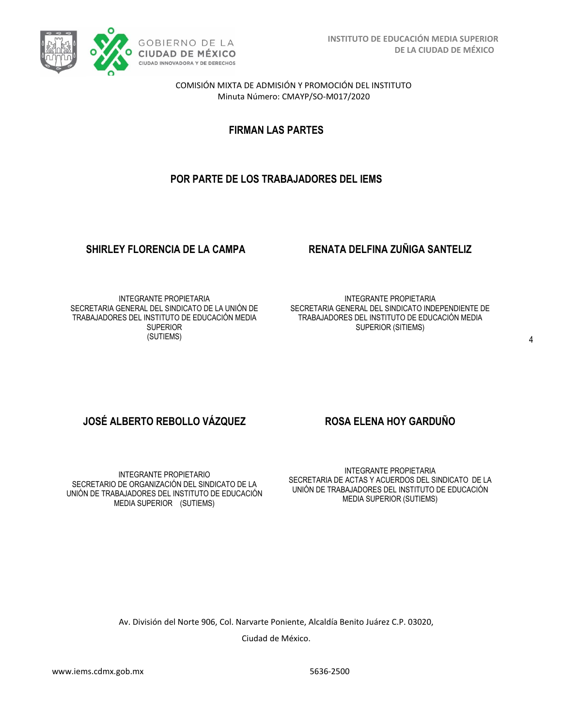

**FIRMAN LAS PARTES**

# **POR PARTE DE LOS TRABAJADORES DEL IEMS**

## **SHIRLEY FLORENCIA DE LA CAMPA RENATA DELFINA ZUÑIGA SANTELIZ**

INTEGRANTE PROPIETARIA SECRETARIA GENERAL DEL SINDICATO DE LA UNIÓN DE TRABAJADORES DEL INSTITUTO DE EDUCACIÓN MEDIA **SUPERIOR** (SUTIEMS)

INTEGRANTE PROPIETARIA SECRETARIA GENERAL DEL SINDICATO INDEPENDIENTE DE TRABAJADORES DEL INSTITUTO DE EDUCACIÓN MEDIA SUPERIOR (SITIEMS)

# **JOSÉ ALBERTO REBOLLO VÁZQUEZ ROSA ELENA HOY GARDUÑO**

INTEGRANTE PROPIETARIO SECRETARIO DE ORGANIZACIÓN DEL SINDICATO DE LA UNIÓN DE TRABAJADORES DEL INSTITUTO DE EDUCACIÓN MEDIA SUPERIOR (SUTIEMS)

INTEGRANTE PROPIETARIA SECRETARIA DE ACTAS Y ACUERDOS DEL SINDICATO DE LA UNIÓN DE TRABAJADORES DEL INSTITUTO DE EDUCACIÓN MEDIA SUPERIOR (SUTIEMS)

Av. División del Norte 906, Col. Narvarte Poniente, Alcaldía Benito Juárez C.P. 03020,